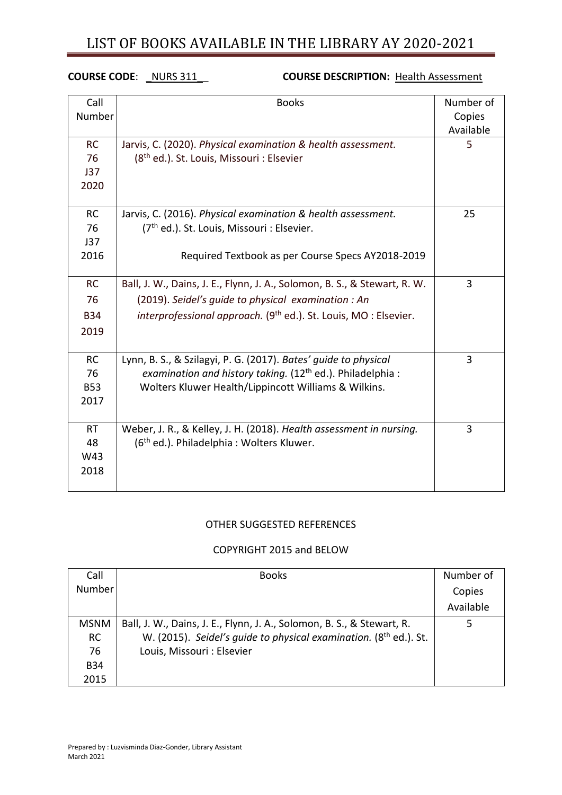### **COURSE CODE**: \_NURS 311\_\_ **COURSE DESCRIPTION:** Health Assessment

| Call<br>Number                        | <b>Books</b>                                                                                                                                                                            | Number of<br>Copies<br>Available |
|---------------------------------------|-----------------------------------------------------------------------------------------------------------------------------------------------------------------------------------------|----------------------------------|
| <b>RC</b><br>76                       | Jarvis, C. (2020). Physical examination & health assessment.<br>(8 <sup>th</sup> ed.). St. Louis, Missouri : Elsevier                                                                   | 5                                |
| J37<br>2020                           |                                                                                                                                                                                         |                                  |
| <b>RC</b><br>76<br>J37<br>2016        | Jarvis, C. (2016). Physical examination & health assessment.<br>(7 <sup>th</sup> ed.). St. Louis, Missouri : Elsevier.<br>Required Textbook as per Course Specs AY2018-2019             | 25                               |
| <b>RC</b><br>76                       | Ball, J. W., Dains, J. E., Flynn, J. A., Solomon, B. S., & Stewart, R. W.<br>(2019). Seidel's guide to physical examination: An                                                         | 3                                |
| <b>B34</b><br>2019                    | interprofessional approach. (9 <sup>th</sup> ed.). St. Louis, MO: Elsevier.                                                                                                             |                                  |
| <b>RC</b><br>76<br><b>B53</b><br>2017 | Lynn, B. S., & Szilagyi, P. G. (2017). Bates' quide to physical<br>examination and history taking. $(12th$ ed.). Philadelphia :<br>Wolters Kluwer Health/Lippincott Williams & Wilkins. | 3                                |
| <b>RT</b><br>48<br>W43<br>2018        | Weber, J. R., & Kelley, J. H. (2018). Health assessment in nursing.<br>(6 <sup>th</sup> ed.). Philadelphia: Wolters Kluwer.                                                             | 3                                |

#### OTHER SUGGESTED REFERENCES

#### COPYRIGHT 2015 and BELOW

| Call        | <b>Books</b>                                                           | Number of |
|-------------|------------------------------------------------------------------------|-----------|
| Number      |                                                                        | Copies    |
|             |                                                                        | Available |
| <b>MSNM</b> | Ball, J. W., Dains, J. E., Flynn, J. A., Solomon, B. S., & Stewart, R. |           |
| <b>RC</b>   | W. (2015). Seidel's guide to physical examination. (8th ed.). St.      |           |
| 76          | Louis, Missouri : Elsevier                                             |           |
| <b>B34</b>  |                                                                        |           |
| 2015        |                                                                        |           |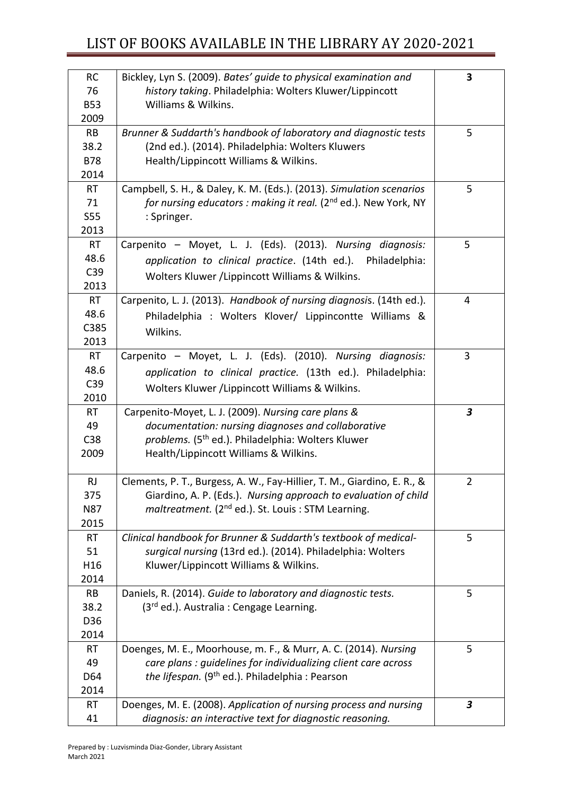| <b>RC</b>       | Bickley, Lyn S. (2009). Bates' guide to physical examination and                                                              | 3                       |
|-----------------|-------------------------------------------------------------------------------------------------------------------------------|-------------------------|
| 76              | history taking. Philadelphia: Wolters Kluwer/Lippincott                                                                       |                         |
| <b>B53</b>      | Williams & Wilkins.                                                                                                           |                         |
| 2009            |                                                                                                                               |                         |
| RB              | Brunner & Suddarth's handbook of laboratory and diagnostic tests                                                              | 5                       |
| 38.2            | (2nd ed.). (2014). Philadelphia: Wolters Kluwers                                                                              |                         |
| <b>B78</b>      | Health/Lippincott Williams & Wilkins.                                                                                         |                         |
| 2014            |                                                                                                                               |                         |
| <b>RT</b>       | Campbell, S. H., & Daley, K. M. (Eds.). (2013). Simulation scenarios                                                          | 5                       |
| 71              | for nursing educators : making it real. (2 <sup>nd</sup> ed.). New York, NY                                                   |                         |
| <b>S55</b>      | : Springer.                                                                                                                   |                         |
| 2013            |                                                                                                                               |                         |
| <b>RT</b>       | Carpenito - Moyet, L. J. (Eds). (2013). Nursing diagnosis:                                                                    | 5                       |
| 48.6<br>C39     | application to clinical practice. (14th ed.). Philadelphia:                                                                   |                         |
| 2013            | Wolters Kluwer / Lippincott Williams & Wilkins.                                                                               |                         |
| <b>RT</b>       | Carpenito, L. J. (2013). Handbook of nursing diagnosis. (14th ed.).                                                           | 4                       |
| 48.6            |                                                                                                                               |                         |
| C385            | Philadelphia : Wolters Klover/ Lippincontte Williams &                                                                        |                         |
| 2013            | Wilkins.                                                                                                                      |                         |
| <b>RT</b>       | Carpenito - Moyet, L. J. (Eds). (2010). Nursing diagnosis:                                                                    | 3                       |
| 48.6            | application to clinical practice. (13th ed.). Philadelphia:                                                                   |                         |
| C39             |                                                                                                                               |                         |
| 2010            | Wolters Kluwer / Lippincott Williams & Wilkins.                                                                               |                         |
| <b>RT</b>       | Carpenito-Moyet, L. J. (2009). Nursing care plans &                                                                           | $\overline{\mathbf{3}}$ |
| 49              | documentation: nursing diagnoses and collaborative                                                                            |                         |
| C38             | problems. (5 <sup>th</sup> ed.). Philadelphia: Wolters Kluwer                                                                 |                         |
| 2009            | Health/Lippincott Williams & Wilkins.                                                                                         |                         |
|                 |                                                                                                                               |                         |
| <b>RJ</b>       | Clements, P. T., Burgess, A. W., Fay-Hillier, T. M., Giardino, E. R., &                                                       | $\overline{2}$          |
| 375             | Giardino, A. P. (Eds.). Nursing approach to evaluation of child                                                               |                         |
| <b>N87</b>      | maltreatment. (2 <sup>nd</sup> ed.). St. Louis : STM Learning.                                                                |                         |
| 2015            |                                                                                                                               |                         |
| <b>RT</b>       | Clinical handbook for Brunner & Suddarth's textbook of medical-                                                               | 5                       |
| 51              | surgical nursing (13rd ed.). (2014). Philadelphia: Wolters                                                                    |                         |
| H16             | Kluwer/Lippincott Williams & Wilkins.                                                                                         |                         |
| 2014            |                                                                                                                               |                         |
| RB              | Daniels, R. (2014). Guide to laboratory and diagnostic tests.                                                                 | 5                       |
| 38.2            | (3rd ed.). Australia : Cengage Learning.                                                                                      |                         |
| D36             |                                                                                                                               |                         |
| 2014            |                                                                                                                               |                         |
| <b>RT</b>       | Doenges, M. E., Moorhouse, m. F., & Murr, A. C. (2014). Nursing                                                               | 5                       |
| 49              | care plans : guidelines for individualizing client care across                                                                |                         |
| D64             | the lifespan. (9 <sup>th</sup> ed.). Philadelphia: Pearson                                                                    |                         |
| 2014            |                                                                                                                               |                         |
| <b>RT</b><br>41 | Doenges, M. E. (2008). Application of nursing process and nursing<br>diagnosis: an interactive text for diagnostic reasoning. | $\mathbf{3}$            |
|                 |                                                                                                                               |                         |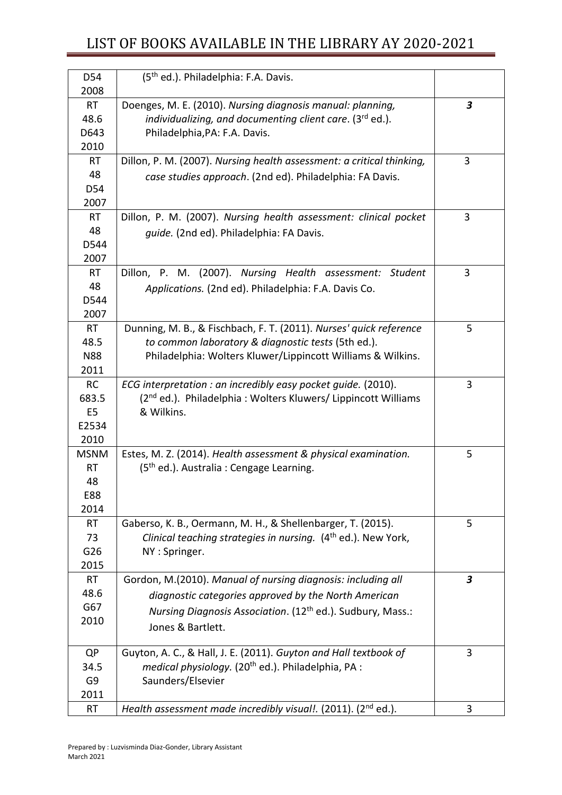| D54               | (5 <sup>th</sup> ed.). Philadelphia: F.A. Davis.                                                                       |                         |
|-------------------|------------------------------------------------------------------------------------------------------------------------|-------------------------|
| 2008              |                                                                                                                        |                         |
| <b>RT</b><br>48.6 | Doenges, M. E. (2010). Nursing diagnosis manual: planning,<br>individualizing, and documenting client care. (3rd ed.). | $\overline{\mathbf{3}}$ |
| D643              | Philadelphia, PA: F.A. Davis.                                                                                          |                         |
| 2010              |                                                                                                                        |                         |
|                   |                                                                                                                        | 3                       |
| <b>RT</b><br>48   | Dillon, P. M. (2007). Nursing health assessment: a critical thinking,                                                  |                         |
| D54               | case studies approach. (2nd ed). Philadelphia: FA Davis.                                                               |                         |
| 2007              |                                                                                                                        |                         |
| <b>RT</b>         | Dillon, P. M. (2007). Nursing health assessment: clinical pocket                                                       | 3                       |
| 48                |                                                                                                                        |                         |
| D544              | guide. (2nd ed). Philadelphia: FA Davis.                                                                               |                         |
| 2007              |                                                                                                                        |                         |
| <b>RT</b>         | Dillon, P. M. (2007). Nursing Health assessment: Student                                                               | 3                       |
| 48                | Applications. (2nd ed). Philadelphia: F.A. Davis Co.                                                                   |                         |
| D544              |                                                                                                                        |                         |
| 2007              |                                                                                                                        |                         |
| <b>RT</b>         | Dunning, M. B., & Fischbach, F. T. (2011). Nurses' quick reference                                                     | 5                       |
| 48.5              | to common laboratory & diagnostic tests (5th ed.).                                                                     |                         |
| <b>N88</b>        | Philadelphia: Wolters Kluwer/Lippincott Williams & Wilkins.                                                            |                         |
| 2011              |                                                                                                                        |                         |
| RC                | ECG interpretation : an incredibly easy pocket guide. (2010).                                                          | 3                       |
| 683.5             | (2 <sup>nd</sup> ed.). Philadelphia: Wolters Kluwers/ Lippincott Williams                                              |                         |
| E <sub>5</sub>    | & Wilkins.                                                                                                             |                         |
| E2534             |                                                                                                                        |                         |
| 2010              |                                                                                                                        |                         |
| <b>MSNM</b>       | Estes, M. Z. (2014). Health assessment & physical examination.                                                         | 5                       |
| <b>RT</b>         | (5 <sup>th</sup> ed.). Australia : Cengage Learning.                                                                   |                         |
| 48                |                                                                                                                        |                         |
| E88               |                                                                                                                        |                         |
| 2014              |                                                                                                                        |                         |
| <b>RT</b>         | Gaberso, K. B., Oermann, M. H., & Shellenbarger, T. (2015).                                                            | 5                       |
| 73                | Clinical teaching strategies in nursing. (4 <sup>th</sup> ed.). New York,                                              |                         |
| G26               | NY: Springer.                                                                                                          |                         |
| 2015              |                                                                                                                        |                         |
| <b>RT</b>         | Gordon, M.(2010). Manual of nursing diagnosis: including all                                                           | $\boldsymbol{3}$        |
| 48.6              | diagnostic categories approved by the North American                                                                   |                         |
| G67               | Nursing Diagnosis Association. (12 <sup>th</sup> ed.). Sudbury, Mass.:                                                 |                         |
| 2010              | Jones & Bartlett.                                                                                                      |                         |
| <b>QP</b>         | Guyton, A. C., & Hall, J. E. (2011). Guyton and Hall textbook of                                                       | 3                       |
| 34.5              | medical physiology. (20 <sup>th</sup> ed.). Philadelphia, PA :                                                         |                         |
| G9                | Saunders/Elsevier                                                                                                      |                         |
| 2011              |                                                                                                                        |                         |
| <b>RT</b>         | Health assessment made incredibly visual!. (2011). ( $2nd$ ed.).                                                       | 3                       |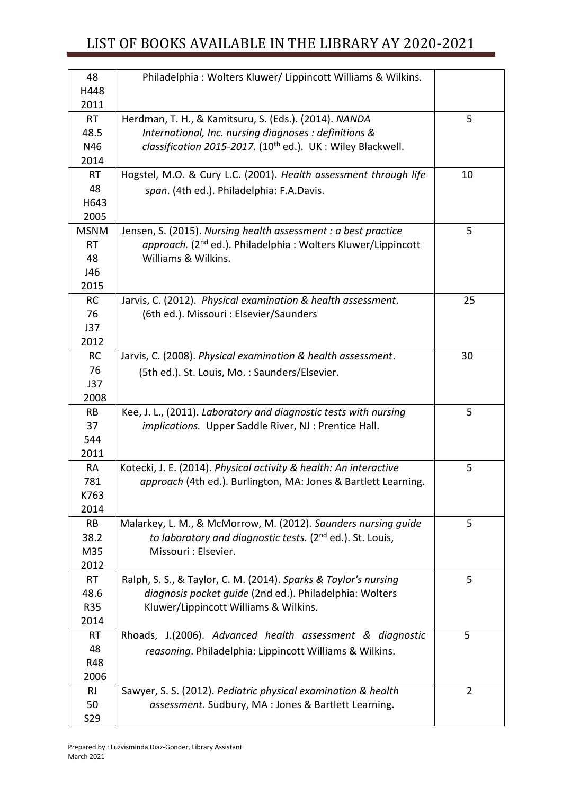| 48           | Philadelphia: Wolters Kluwer/ Lippincott Williams & Wilkins.             |                |
|--------------|--------------------------------------------------------------------------|----------------|
| H448<br>2011 |                                                                          |                |
| <b>RT</b>    | Herdman, T. H., & Kamitsuru, S. (Eds.). (2014). NANDA                    | 5              |
| 48.5         | International, Inc. nursing diagnoses : definitions &                    |                |
| N46          | classification 2015-2017. (10 <sup>th</sup> ed.). UK: Wiley Blackwell.   |                |
| 2014         |                                                                          |                |
| <b>RT</b>    | Hogstel, M.O. & Cury L.C. (2001). Health assessment through life         | 10             |
| 48           | span. (4th ed.). Philadelphia: F.A.Davis.                                |                |
| H643         |                                                                          |                |
| 2005         |                                                                          |                |
| <b>MSNM</b>  | Jensen, S. (2015). Nursing health assessment : a best practice           | 5              |
| <b>RT</b>    | approach. (2 <sup>nd</sup> ed.). Philadelphia: Wolters Kluwer/Lippincott |                |
| 48           | Williams & Wilkins.                                                      |                |
| J46          |                                                                          |                |
| 2015         |                                                                          |                |
| <b>RC</b>    | Jarvis, C. (2012). Physical examination & health assessment.             | 25             |
| 76           | (6th ed.). Missouri : Elsevier/Saunders                                  |                |
| J37          |                                                                          |                |
| 2012         |                                                                          |                |
| <b>RC</b>    | Jarvis, C. (2008). Physical examination & health assessment.             | 30             |
| 76           | (5th ed.). St. Louis, Mo.: Saunders/Elsevier.                            |                |
| J37          |                                                                          |                |
| 2008         |                                                                          |                |
| <b>RB</b>    | Kee, J. L., (2011). Laboratory and diagnostic tests with nursing         | 5              |
| 37           | implications. Upper Saddle River, NJ : Prentice Hall.                    |                |
| 544          |                                                                          |                |
| 2011         |                                                                          |                |
| <b>RA</b>    | Kotecki, J. E. (2014). Physical activity & health: An interactive        | 5              |
| 781          | approach (4th ed.). Burlington, MA: Jones & Bartlett Learning.           |                |
| K763<br>2014 |                                                                          |                |
| <b>RB</b>    | Malarkey, L. M., & McMorrow, M. (2012). Saunders nursing guide           | 5              |
| 38.2         | to laboratory and diagnostic tests. (2 <sup>nd</sup> ed.). St. Louis,    |                |
| M35          | Missouri : Elsevier.                                                     |                |
| 2012         |                                                                          |                |
| <b>RT</b>    | Ralph, S. S., & Taylor, C. M. (2014). Sparks & Taylor's nursing          | 5              |
| 48.6         | diagnosis pocket guide (2nd ed.). Philadelphia: Wolters                  |                |
| <b>R35</b>   | Kluwer/Lippincott Williams & Wilkins.                                    |                |
| 2014         |                                                                          |                |
| <b>RT</b>    | Rhoads, J.(2006). Advanced health assessment & diagnostic                | 5              |
| 48           | reasoning. Philadelphia: Lippincott Williams & Wilkins.                  |                |
| R48          |                                                                          |                |
| 2006         |                                                                          |                |
| <b>RJ</b>    | Sawyer, S. S. (2012). Pediatric physical examination & health            | $\overline{2}$ |
| 50           | assessment. Sudbury, MA : Jones & Bartlett Learning.                     |                |
| S29          |                                                                          |                |